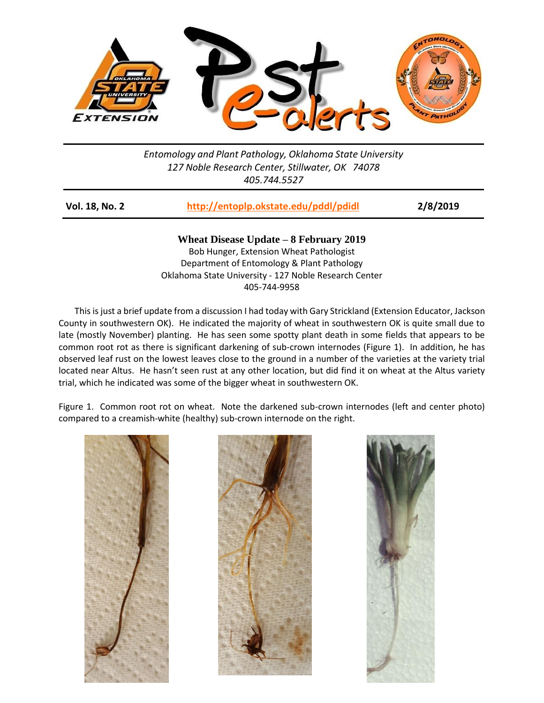

*Entomology and Plant Pathology, Oklahoma State University 127 Noble Research Center, Stillwater, OK 74078 405.744.5527*

| Vol. 18, No. 2 | http://entoplp.okstate.edu/pddl/pdidl | 2/8/2019 |
|----------------|---------------------------------------|----------|
|----------------|---------------------------------------|----------|

**Wheat Disease Update – 8 February 2019** Bob Hunger, Extension Wheat Pathologist Department of Entomology & Plant Pathology Oklahoma State University - 127 Noble Research Center 405-744-9958

This is just a brief update from a discussion I had today with Gary Strickland (Extension Educator, Jackson County in southwestern OK). He indicated the majority of wheat in southwestern OK is quite small due to late (mostly November) planting. He has seen some spotty plant death in some fields that appears to be common root rot as there is significant darkening of sub-crown internodes (Figure 1). In addition, he has observed leaf rust on the lowest leaves close to the ground in a number of the varieties at the variety trial located near Altus. He hasn't seen rust at any other location, but did find it on wheat at the Altus variety trial, which he indicated was some of the bigger wheat in southwestern OK.

Figure 1. Common root rot on wheat. Note the darkened sub-crown internodes (left and center photo) compared to a creamish-white (healthy) sub-crown internode on the right.